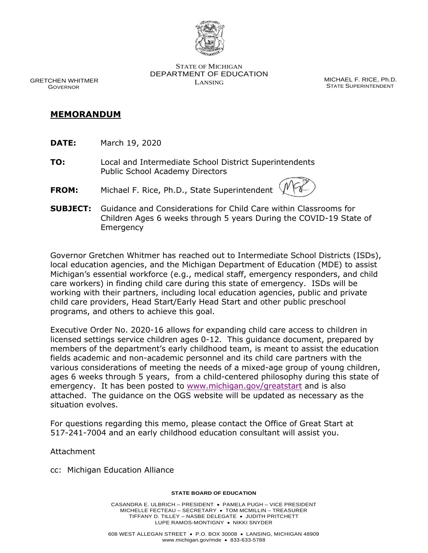

 DEPARTMENT OF EDUCATION STATE OF MICHIGAN GRETCHEN WHITMER **GRETCHEN WHITMER SECULIARIST SECULIARIST SECULIARIST SECULIARIST SECULIARIST SECULIARIST SE**<br>GOVERNOR **GOVER** GOVER STATE SUPERINTENDENT

**STATE SUPERINTENDENT** 

- **MEMORANDUM DATE:** March 19, 2020 **DATE:**
- **TO:** Local and Intermediate School District Superintendents Public School Academy Directors
- **FROM:** Michael F. Rice, Ph.D., State Superintendent
- **SUBJECT:** Guidance and Considerations for Child Care within Classrooms for Children Ages 6 weeks through 5 years During the COVID-19 State of Emergency

 local education agencies, and the Michigan Department of Education (MDE) to assist care workers) in finding child care during this state of emergency. ISDs will be working with their partners, including local education agencies, public and private child care providers, Head Start/Early Head Start and other public preschool programs, and others to achieve this goal. Governor Gretchen Whitmer has reached out to Intermediate School Districts (ISDs), Michigan's essential workforce (e.g., medical staff, emergency responders, and child

 Executive Order No. 2020-16 allows for expanding child care access to children in licensed settings service children ages 0-12. This guidance document, prepared by members of the department's early childhood team, is meant to assist the education various considerations of meeting the needs of a mixed-age group of young children, ages 6 weeks through 5 years, from a child-centered philosophy during this state of emergency. It has been posted to [www.michigan.gov/greatstart](http://www.michigan.gov/greatstart) and is also situation evolves. fields academic and non-academic personnel and its child care partners with the attached. The guidance on the OGS website will be updated as necessary as the

 For questions regarding this memo, please contact the Office of Great Start at 517-241-7004 and an early childhood education consultant will assist you.

Attachment

cc: Michigan Education Alliance

### **STATE BOARD OF EDUCATION**

 MICHELLE FECTEAU – SECRETARY • TOM MCMILLIN – TREASURER TIFFANY D. TILLEY – NASBE DELEGATE • JUDITH PRITCHETT LUPE RAMOS-MONTIGNY • NIKKI SNYDER CASANDRA E. ULBRICH – PRESIDENT • PAMELA PUGH – VICE PRESIDENT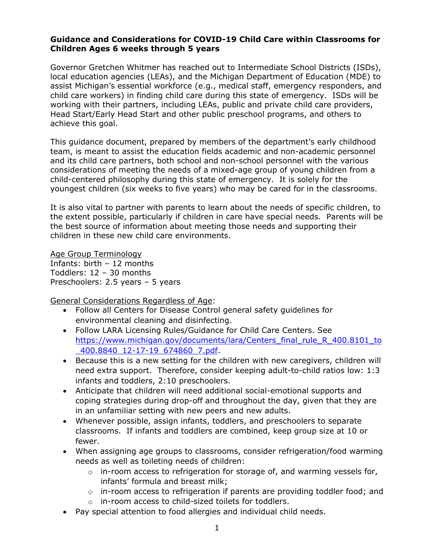## **Guidance and Considerations for COVID-19 Child Care within Classrooms for Children Ages 6 weeks through 5 years**

 local education agencies (LEAs), and the Michigan Department of Education (MDE) to assist Michigan's essential workforce (e.g., medical staff, emergency responders, and child care workers) in finding child care during this state of emergency. ISDs will be working with their partners, including LEAs, public and private child care providers, Head Start/Early Head Start and other public preschool programs, and others to Governor Gretchen Whitmer has reached out to Intermediate School Districts (ISDs), achieve this goal.

 This guidance document, prepared by members of the department's early childhood and its child care partners, both school and non-school personnel with the various considerations of meeting the needs of a mixed-age group of young children from a youngest children (six weeks to five years) who may be cared for in the classrooms. team, is meant to assist the education fields academic and non-academic personnel child-centered philosophy during this state of emergency. It is solely for the

 It is also vital to partner with parents to learn about the needs of specific children, to the extent possible, particularly if children in care have special needs. Parents will be the best source of information about meeting those needs and supporting their children in these new child care environments.

 Infants: birth – 12 months Preschoolers: 2.5 years – 5 years Age Group Terminology Toddlers: 12 – 30 months

General Considerations Regardless of Age:

- environmental cleaning and disinfecting. • Follow all Centers for Disease Control general safety guidelines for
- Follow LARA Licensing Rules/Guidance for Child Care Centers. See https://www.michigan.gov/documents/lara/Centers\_final\_rule\_R\_400.8101\_to [\\_400.8840\\_12-17-19\\_674860\\_7.pdf.](https://www.michigan.gov/documents/lara/Centers_final_rule_R_400.8101_to_400.8840_12-17-19_674860_7.pdf)
- • Because this is a new setting for the children with new caregivers, children will need extra support. Therefore, consider keeping adult-to-child ratios low: 1:3 infants and toddlers, 2:10 preschoolers.
- coping strategies during drop-off and throughout the day, given that they are in an unfamiliar setting with new peers and new adults. • Anticipate that children will need additional social-emotional supports and
- • Whenever possible, assign infants, toddlers, and preschoolers to separate classrooms. If infants and toddlers are combined, keep group size at 10 or fewer.
- • When assigning age groups to classrooms, consider refrigeration/food warming needs as well as toileting needs of children:
	- $\circ$  in-room access to refrigeration for storage of, and warming vessels for, infants' formula and breast milk;
	- $\circ$  in-room access to refrigeration if parents are providing toddler food; and
	- o in-room access to child-sized toilets for toddlers.
- Pay special attention to food allergies and individual child needs.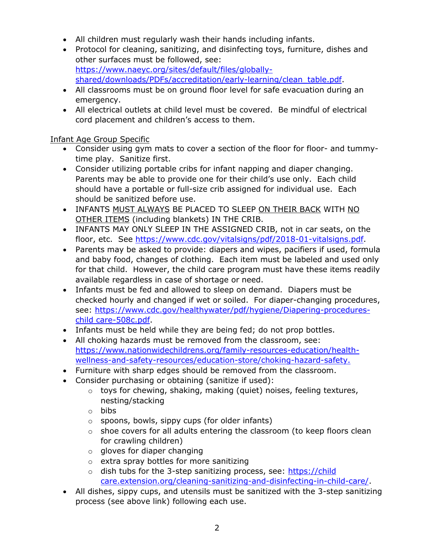- All children must regularly wash their hands including infants.
- • Protocol for cleaning, sanitizing, and disinfecting toys, furniture, dishes and other surfaces must be followed, see: [https://www.naeyc.org/sites/default/files/globally](https://www.naeyc.org/sites/default/files/globally-shared/downloads/PDFs/accreditation/early-learning/clean_table.pdf)[shared/downloads/PDFs/accreditation/early-learning/clean\\_table.pdf.](https://www.naeyc.org/sites/default/files/globally-shared/downloads/PDFs/accreditation/early-learning/clean_table.pdf)
- • All classrooms must be on ground floor level for safe evacuation during an emergency.
- cord placement and children's access to them. • All electrical outlets at child level must be covered. Be mindful of electrical

# Infant Age Group Specific

- • Consider using gym mats to cover a section of the floor for floor- and tummy-time play. Sanitize first.
- • Consider utilizing portable cribs for infant napping and diaper changing. Parents may be able to provide one for their child's use only. Each child should have a portable or full-size crib assigned for individual use. Each should be sanitized before use.
- INFANTS MUST ALWAYS BE PLACED TO SLEEP ON THEIR BACK WITH NO OTHER ITEMS (including blankets) IN THE CRIB.
- • INFANTS MAY ONLY SLEEP IN THE ASSIGNED CRIB, not in car seats, on the floor, etc. See [https://www.cdc.gov/vitalsigns/pdf/2018-01-vitalsigns.pdf.](https://www.cdc.gov/vitalsigns/pdf/2018-01-vitalsigns.pdf)
- • Parents may be asked to provide: diapers and wipes, pacifiers if used, formula and baby food, changes of clothing. Each item must be labeled and used only for that child. However, the child care program must have these items readily available regardless in case of shortage or need.
- • Infants must be fed and allowed to sleep on demand. Diapers must be checked hourly and changed if wet or soiled. For diaper-changing procedures, see: [https://www.cdc.gov/healthywater/pdf/hygiene/Diapering-procedures](https://www.cdc.gov/healthywater/pdf/hygiene/Diapering-procedures-childcare-508c.pdf)[child care-508c.pdf.](https://www.cdc.gov/healthywater/pdf/hygiene/Diapering-procedures-childcare-508c.pdf)
- Infants must be held while they are being fed; do not prop bottles.
- All choking hazards must be removed from the classroom, see: [https://www.nationwidechildrens.org/family-resources-education/health](https://www.nationwidechildrens.org/family-resources-education/health-wellness-and-safety-resources/education-store/choking-hazard-safety)[wellness-and-safety-resources/education-store/choking-hazard-safety.](https://www.nationwidechildrens.org/family-resources-education/health-wellness-and-safety-resources/education-store/choking-hazard-safety)
- Furniture with sharp edges should be removed from the classroom.
- Consider purchasing or obtaining (sanitize if used):
	- $\circ$  toys for chewing, shaking, making (quiet) noises, feeling textures, nesting/stacking
	- o bibs
	- o spoons, bowls, sippy cups (for older infants)
	- $\circ$  shoe covers for all adults entering the classroom (to keep floors clean for crawling children)
	- $\circ$  gloves for diaper changing
	- o extra spray bottles for more sanitizing
	- o dish tubs for the 3-step sanitizing process, see: https://child [care.extension.org/cleaning-sanitizing-and-disinfecting-in-child-care/.](https://childcare.extension.org/cleaning-sanitizing-and-disinfecting-in-child-care/)
- • All dishes, sippy cups, and utensils must be sanitized with the 3-step sanitizing process (see above link) following each use.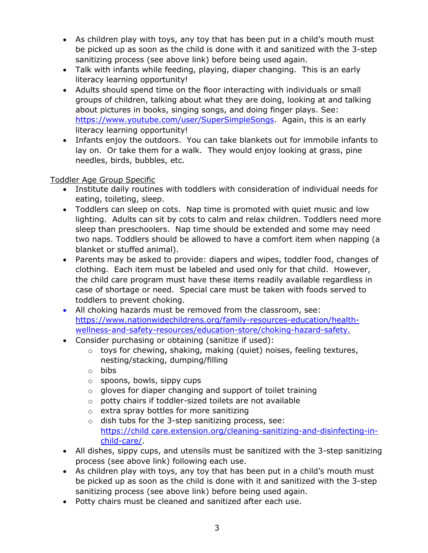- • As children play with toys, any toy that has been put in a child's mouth must be picked up as soon as the child is done with it and sanitized with the 3-step sanitizing process (see above link) before being used again.
- • Talk with infants while feeding, playing, diaper changing. This is an early literacy learning opportunity!
- • Adults should spend time on the floor interacting with individuals or small groups of children, talking about what they are doing, looking at and talking about pictures in books, singing songs, and doing finger plays. See: [https://www.youtube.com/user/SuperSimpleSongs.](https://www.youtube.com/user/SuperSimpleSongs) Again, this is an early literacy learning opportunity!
- • Infants enjoy the outdoors. You can take blankets out for immobile infants to lay on. Or take them for a walk. They would enjoy looking at grass, pine needles, birds, bubbles, etc.

# Toddler Age Group Specific

- eating, toileting, sleep. • Institute daily routines with toddlers with consideration of individual needs for
- • Toddlers can sleep on cots. Nap time is promoted with quiet music and low lighting. Adults can sit by cots to calm and relax children. Toddlers need more sleep than preschoolers. Nap time should be extended and some may need two naps. Toddlers should be allowed to have a comfort item when napping (a blanket or stuffed animal).
- • Parents may be asked to provide: diapers and wipes, toddler food, changes of clothing. Each item must be labeled and used only for that child. However, case of shortage or need. Special care must be taken with foods served to the child care program must have these items readily available regardless in toddlers to prevent choking.
- All choking hazards must be removed from the classroom, see: [https://www.nationwidechildrens.org/family-resources-education/health](https://www.nationwidechildrens.org/family-resources-education/health-wellness-and-safety-resources/education-store/choking-hazard-safety)[wellness-and-safety-resources/education-store/choking-hazard-safety.](https://www.nationwidechildrens.org/family-resources-education/health-wellness-and-safety-resources/education-store/choking-hazard-safety)
- Consider purchasing or obtaining (sanitize if used):
	- $\circ$  toys for chewing, shaking, making (quiet) noises, feeling textures, nesting/stacking, dumping/filling
	- o bibs
	- o spoons, bowls, sippy cups
	- $\circ$  gloves for diaper changing and support of toilet training
	- $\circ$  potty chairs if toddler-sized toilets are not available
	- o extra spray bottles for more sanitizing
	- o dish tubs for the 3-step sanitizing process, see: [https://child care.extension.org/cleaning-sanitizing-and-disinfecting-in](https://childcare.extension.org/cleaning-sanitizing-and-disinfecting-in-child-care/)[child-care/.](https://childcare.extension.org/cleaning-sanitizing-and-disinfecting-in-child-care/)
- • All dishes, sippy cups, and utensils must be sanitized with the 3-step sanitizing process (see above link) following each use.
- • As children play with toys, any toy that has been put in a child's mouth must be picked up as soon as the child is done with it and sanitized with the 3-step sanitizing process (see above link) before being used again.
- Potty chairs must be cleaned and sanitized after each use.